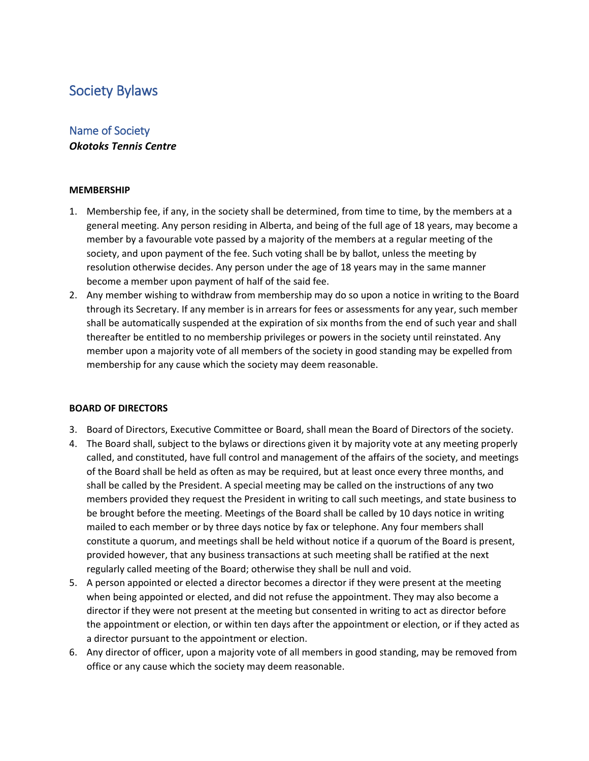# Society Bylaws

# Name of Society *Okotoks Tennis Centre*

# **MEMBERSHIP**

- 1. Membership fee, if any, in the society shall be determined, from time to time, by the members at a general meeting. Any person residing in Alberta, and being of the full age of 18 years, may become a member by a favourable vote passed by a majority of the members at a regular meeting of the society, and upon payment of the fee. Such voting shall be by ballot, unless the meeting by resolution otherwise decides. Any person under the age of 18 years may in the same manner become a member upon payment of half of the said fee.
- 2. Any member wishing to withdraw from membership may do so upon a notice in writing to the Board through its Secretary. If any member is in arrears for fees or assessments for any year, such member shall be automatically suspended at the expiration of six months from the end of such year and shall thereafter be entitled to no membership privileges or powers in the society until reinstated. Any member upon a majority vote of all members of the society in good standing may be expelled from membership for any cause which the society may deem reasonable.

# **BOARD OF DIRECTORS**

- 3. Board of Directors, Executive Committee or Board, shall mean the Board of Directors of the society.
- 4. The Board shall, subject to the bylaws or directions given it by majority vote at any meeting properly called, and constituted, have full control and management of the affairs of the society, and meetings of the Board shall be held as often as may be required, but at least once every three months, and shall be called by the President. A special meeting may be called on the instructions of any two members provided they request the President in writing to call such meetings, and state business to be brought before the meeting. Meetings of the Board shall be called by 10 days notice in writing mailed to each member or by three days notice by fax or telephone. Any four members shall constitute a quorum, and meetings shall be held without notice if a quorum of the Board is present, provided however, that any business transactions at such meeting shall be ratified at the next regularly called meeting of the Board; otherwise they shall be null and void.
- 5. A person appointed or elected a director becomes a director if they were present at the meeting when being appointed or elected, and did not refuse the appointment. They may also become a director if they were not present at the meeting but consented in writing to act as director before the appointment or election, or within ten days after the appointment or election, or if they acted as a director pursuant to the appointment or election.
- 6. Any director of officer, upon a majority vote of all members in good standing, may be removed from office or any cause which the society may deem reasonable.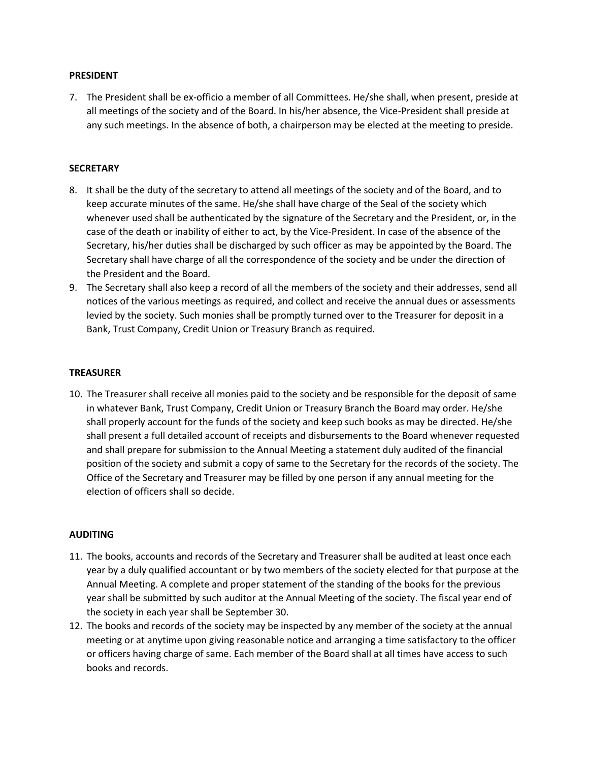# **PRESIDENT**

7. The President shall be ex-officio a member of all Committees. He/she shall, when present, preside at all meetings of the society and of the Board. In his/her absence, the Vice-President shall preside at any such meetings. In the absence of both, a chairperson may be elected at the meeting to preside.

# **SECRETARY**

- 8. It shall be the duty of the secretary to attend all meetings of the society and of the Board, and to keep accurate minutes of the same. He/she shall have charge of the Seal of the society which whenever used shall be authenticated by the signature of the Secretary and the President, or, in the case of the death or inability of either to act, by the Vice-President. In case of the absence of the Secretary, his/her duties shall be discharged by such officer as may be appointed by the Board. The Secretary shall have charge of all the correspondence of the society and be under the direction of the President and the Board.
- 9. The Secretary shall also keep a record of all the members of the society and their addresses, send all notices of the various meetings as required, and collect and receive the annual dues or assessments levied by the society. Such monies shall be promptly turned over to the Treasurer for deposit in a Bank, Trust Company, Credit Union or Treasury Branch as required.

# **TREASURER**

10. The Treasurer shall receive all monies paid to the society and be responsible for the deposit of same in whatever Bank, Trust Company, Credit Union or Treasury Branch the Board may order. He/she shall properly account for the funds of the society and keep such books as may be directed. He/she shall present a full detailed account of receipts and disbursements to the Board whenever requested and shall prepare for submission to the Annual Meeting a statement duly audited of the financial position of the society and submit a copy of same to the Secretary for the records of the society. The Office of the Secretary and Treasurer may be filled by one person if any annual meeting for the election of officers shall so decide.

#### **AUDITING**

- 11. The books, accounts and records of the Secretary and Treasurer shall be audited at least once each year by a duly qualified accountant or by two members of the society elected for that purpose at the Annual Meeting. A complete and proper statement of the standing of the books for the previous year shall be submitted by such auditor at the Annual Meeting of the society. The fiscal year end of the society in each year shall be September 30.
- 12. The books and records of the society may be inspected by any member of the society at the annual meeting or at anytime upon giving reasonable notice and arranging a time satisfactory to the officer or officers having charge of same. Each member of the Board shall at all times have access to such books and records.